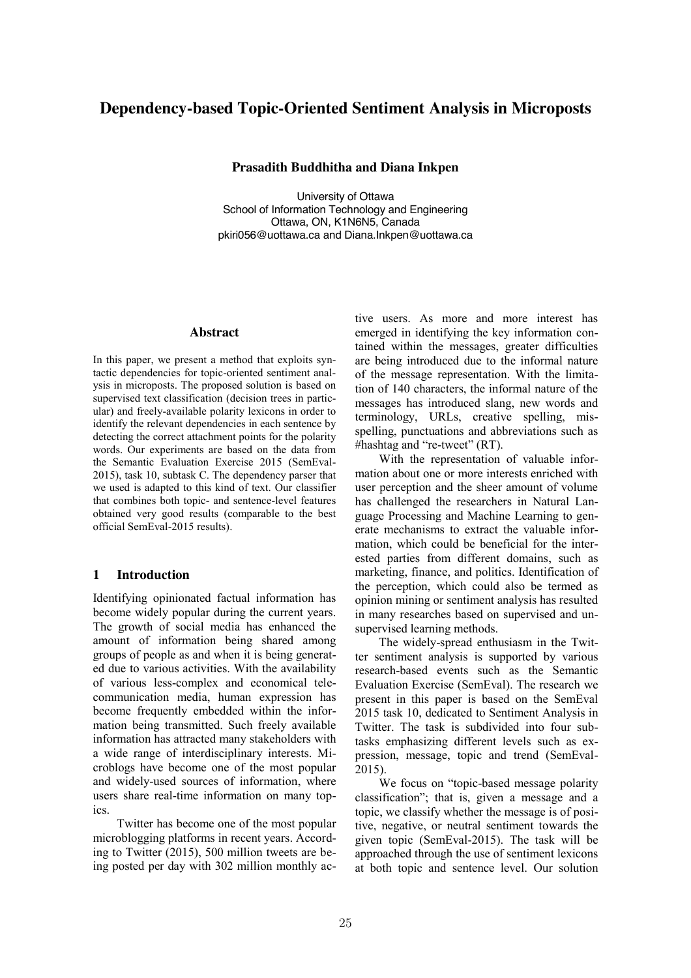# **Dependency-based Topic-Oriented Sentiment Analysis in Microposts**

### **Prasadith Buddhitha and Diana Inkpen**

University of Ottawa School of Information Technology and Engineering Ottawa, ON, K1N6N5, Canada pkiri056@uottawa.ca and Diana.Inkpen@uottawa.ca

### **Abstract**

In this paper, we present a method that exploits syntactic dependencies for topic-oriented sentiment analysis in microposts. The proposed solution is based on supervised text classification (decision trees in particular) and freely-available polarity lexicons in order to identify the relevant dependencies in each sentence by detecting the correct attachment points for the polarity words. Our experiments are based on the data from the Semantic Evaluation Exercise 2015 (SemEval-2015), task 10, subtask C. The dependency parser that we used is adapted to this kind of text. Our classifier that combines both topic- and sentence-level features obtained very good results (comparable to the best official SemEval-2015 results).

## **1 Introduction**

Identifying opinionated factual information has become widely popular during the current years. The growth of social media has enhanced the amount of information being shared among groups of people as and when it is being generated due to various activities. With the availability of various less-complex and economical telecommunication media, human expression has become frequently embedded within the information being transmitted. Such freely available information has attracted many stakeholders with a wide range of interdisciplinary interests. Microblogs have become one of the most popular and widely-used sources of information, where users share real-time information on many topics.

Twitter has become one of the most popular microblogging platforms in recent years. According to Twitter (2015), 500 million tweets are being posted per day with 302 million monthly active users. As more and more interest has emerged in identifying the key information contained within the messages, greater difficulties are being introduced due to the informal nature of the message representation. With the limitation of 140 characters, the informal nature of the messages has introduced slang, new words and terminology, URLs, creative spelling, misspelling, punctuations and abbreviations such as #hashtag and "re-tweet" (RT).

With the representation of valuable information about one or more interests enriched with user perception and the sheer amount of volume has challenged the researchers in Natural Language Processing and Machine Learning to generate mechanisms to extract the valuable information, which could be beneficial for the interested parties from different domains, such as marketing, finance, and politics. Identification of the perception, which could also be termed as opinion mining or sentiment analysis has resulted in many researches based on supervised and unsupervised learning methods.

The widely-spread enthusiasm in the Twitter sentiment analysis is supported by various research-based events such as the Semantic Evaluation Exercise (SemEval). The research we present in this paper is based on the SemEval 2015 task 10, dedicated to Sentiment Analysis in Twitter. The task is subdivided into four subtasks emphasizing different levels such as expression, message, topic and trend (SemEval-2015).

We focus on "topic-based message polarity classification"; that is, given a message and a topic, we classify whether the message is of positive, negative, or neutral sentiment towards the given topic (SemEval-2015). The task will be approached through the use of sentiment lexicons at both topic and sentence level. Our solution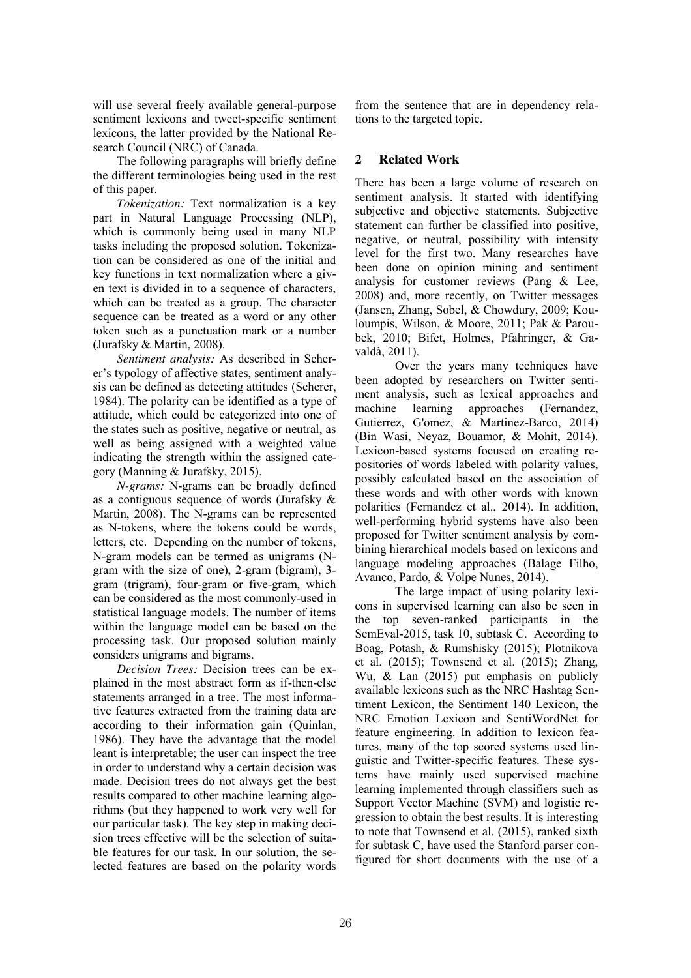will use several freely available general-purpose sentiment lexicons and tweet-specific sentiment lexicons, the latter provided by the National Research Council (NRC) of Canada.

The following paragraphs will briefly define the different terminologies being used in the rest of this paper.

*Tokenization:* Text normalization is a key part in Natural Language Processing (NLP), which is commonly being used in many NLP tasks including the proposed solution. Tokenization can be considered as one of the initial and key functions in text normalization where a given text is divided in to a sequence of characters, which can be treated as a group. The character sequence can be treated as a word or any other token such as a punctuation mark or a number (Jurafsky & Martin, 2008).

*Sentiment analysis:* As described in Scherer's typology of affective states, sentiment analysis can be defined as detecting attitudes (Scherer, 1984). The polarity can be identified as a type of attitude, which could be categorized into one of the states such as positive, negative or neutral, as well as being assigned with a weighted value indicating the strength within the assigned category (Manning & Jurafsky, 2015).

*N-grams:* N-grams can be broadly defined as a contiguous sequence of words (Jurafsky & Martin, 2008). The N-grams can be represented as N-tokens, where the tokens could be words, letters, etc. Depending on the number of tokens, N-gram models can be termed as unigrams (Ngram with the size of one), 2-gram (bigram), 3 gram (trigram), four-gram or five-gram, which can be considered as the most commonly-used in statistical language models. The number of items within the language model can be based on the processing task. Our proposed solution mainly considers unigrams and bigrams.

*Decision Trees:* Decision trees can be explained in the most abstract form as if-then-else statements arranged in a tree. The most informative features extracted from the training data are according to their information gain (Quinlan, 1986). They have the advantage that the model leant is interpretable; the user can inspect the tree in order to understand why a certain decision was made. Decision trees do not always get the best results compared to other machine learning algorithms (but they happened to work very well for our particular task). The key step in making decision trees effective will be the selection of suitable features for our task. In our solution, the selected features are based on the polarity words from the sentence that are in dependency relations to the targeted topic.

## **2 Related Work**

There has been a large volume of research on sentiment analysis. It started with identifying subjective and objective statements. Subjective statement can further be classified into positive, negative, or neutral, possibility with intensity level for the first two. Many researches have been done on opinion mining and sentiment analysis for customer reviews (Pang & Lee, 2008) and, more recently, on Twitter messages (Jansen, Zhang, Sobel, & Chowdury, 2009; Kouloumpis, Wilson, & Moore, 2011; Pak & Paroubek, 2010; Bifet, Holmes, Pfahringer, & Gavaldà, 2011).

Over the years many techniques have been adopted by researchers on Twitter sentiment analysis, such as lexical approaches and machine learning approaches (Fernandez, Gutierrez, G'omez, & Martinez-Barco, 2014) (Bin Wasi, Neyaz, Bouamor, & Mohit, 2014). Lexicon-based systems focused on creating repositories of words labeled with polarity values, possibly calculated based on the association of these words and with other words with known polarities (Fernandez et al., 2014). In addition, well-performing hybrid systems have also been proposed for Twitter sentiment analysis by combining hierarchical models based on lexicons and language modeling approaches (Balage Filho, Avanco, Pardo, & Volpe Nunes, 2014).

The large impact of using polarity lexicons in supervised learning can also be seen in the top seven-ranked participants in the SemEval-2015, task 10, subtask C. According to Boag, Potash, & Rumshisky (2015); Plotnikova et al. (2015); Townsend et al. (2015); Zhang, Wu, & Lan (2015) put emphasis on publicly available lexicons such as the NRC Hashtag Sentiment Lexicon, the Sentiment 140 Lexicon, the NRC Emotion Lexicon and SentiWordNet for feature engineering. In addition to lexicon features, many of the top scored systems used linguistic and Twitter-specific features. These systems have mainly used supervised machine learning implemented through classifiers such as Support Vector Machine (SVM) and logistic regression to obtain the best results. It is interesting to note that Townsend et al. (2015), ranked sixth for subtask C, have used the Stanford parser configured for short documents with the use of a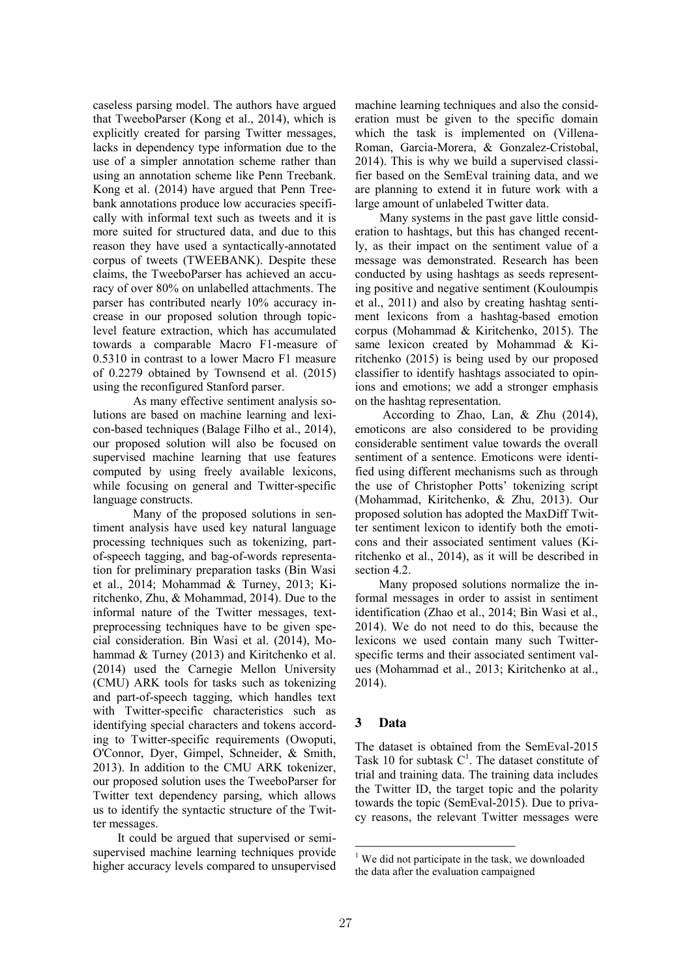caseless parsing model. The authors have argued that TweeboParser (Kong et al., 2014), which is explicitly created for parsing Twitter messages, lacks in dependency type information due to the use of a simpler annotation scheme rather than using an annotation scheme like Penn Treebank. Kong et al. (2014) have argued that Penn Treebank annotations produce low accuracies specifically with informal text such as tweets and it is more suited for structured data, and due to this reason they have used a syntactically-annotated corpus of tweets (TWEEBANK). Despite these claims, the TweeboParser has achieved an accuracy of over 80% on unlabelled attachments. The parser has contributed nearly 10% accuracy increase in our proposed solution through topiclevel feature extraction, which has accumulated towards a comparable Macro F1-measure of 0.5310 in contrast to a lower Macro F1 measure of 0.2279 obtained by Townsend et al. (2015) using the reconfigured Stanford parser.

As many effective sentiment analysis solutions are based on machine learning and lexicon-based techniques (Balage Filho et al., 2014), our proposed solution will also be focused on supervised machine learning that use features computed by using freely available lexicons, while focusing on general and Twitter-specific language constructs.

Many of the proposed solutions in sentiment analysis have used key natural language processing techniques such as tokenizing, partof-speech tagging, and bag-of-words representation for preliminary preparation tasks (Bin Wasi et al., 2014; Mohammad & Turney, 2013; Kiritchenko, Zhu, & Mohammad, 2014). Due to the informal nature of the Twitter messages, textpreprocessing techniques have to be given special consideration. Bin Wasi et al. (2014), Mohammad & Turney (2013) and Kiritchenko et al. (2014) used the Carnegie Mellon University (CMU) ARK tools for tasks such as tokenizing and part-of-speech tagging, which handles text with Twitter-specific characteristics such as identifying special characters and tokens according to Twitter-specific requirements (Owoputi, O'Connor, Dyer, Gimpel, Schneider, & Smith, 2013). In addition to the CMU ARK tokenizer, our proposed solution uses the TweeboParser for Twitter text dependency parsing, which allows us to identify the syntactic structure of the Twitter messages.

 It could be argued that supervised or semisupervised machine learning techniques provide higher accuracy levels compared to unsupervised machine learning techniques and also the consideration must be given to the specific domain which the task is implemented on (Villena-Roman, Garcia-Morera, & Gonzalez-Cristobal, 2014). This is why we build a supervised classifier based on the SemEval training data, and we are planning to extend it in future work with a large amount of unlabeled Twitter data.

 Many systems in the past gave little consideration to hashtags, but this has changed recently, as their impact on the sentiment value of a message was demonstrated. Research has been conducted by using hashtags as seeds representing positive and negative sentiment (Kouloumpis et al., 2011) and also by creating hashtag sentiment lexicons from a hashtag-based emotion corpus (Mohammad & Kiritchenko, 2015). The same lexicon created by Mohammad & Kiritchenko (2015) is being used by our proposed classifier to identify hashtags associated to opinions and emotions; we add a stronger emphasis on the hashtag representation.

 According to Zhao, Lan, & Zhu (2014), emoticons are also considered to be providing considerable sentiment value towards the overall sentiment of a sentence. Emoticons were identified using different mechanisms such as through the use of Christopher Potts' tokenizing script (Mohammad, Kiritchenko, & Zhu, 2013). Our proposed solution has adopted the MaxDiff Twitter sentiment lexicon to identify both the emoticons and their associated sentiment values (Kiritchenko et al., 2014), as it will be described in section 4.2.

Many proposed solutions normalize the informal messages in order to assist in sentiment identification (Zhao et al., 2014; Bin Wasi et al., 2014). We do not need to do this, because the lexicons we used contain many such Twitterspecific terms and their associated sentiment values (Mohammad et al., 2013; Kiritchenko at al., 2014).

## **3 Data**

The dataset is obtained from the SemEval-2015 Task 10 for subtask  $C<sup>1</sup>$ . The dataset constitute of trial and training data. The training data includes the Twitter ID, the target topic and the polarity towards the topic (SemEval-2015). Due to privacy reasons, the relevant Twitter messages were

<sup>&</sup>lt;sup>1</sup> We did not participate in the task, we downloaded the data after the evaluation campaigned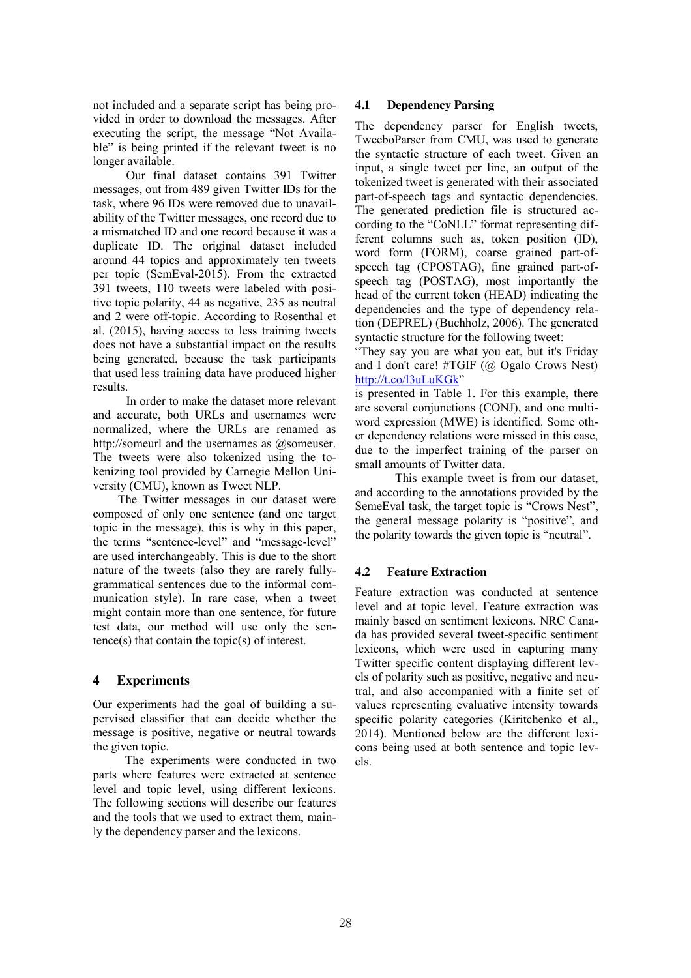not included and a separate script has being provided in order to download the messages. After executing the script, the message "Not Available" is being printed if the relevant tweet is no longer available.

 Our final dataset contains 391 Twitter messages, out from 489 given Twitter IDs for the task, where 96 IDs were removed due to unavailability of the Twitter messages, one record due to a mismatched ID and one record because it was a duplicate ID. The original dataset included around 44 topics and approximately ten tweets per topic (SemEval-2015). From the extracted 391 tweets, 110 tweets were labeled with positive topic polarity, 44 as negative, 235 as neutral and 2 were off-topic. According to Rosenthal et al. (2015), having access to less training tweets does not have a substantial impact on the results being generated, because the task participants that used less training data have produced higher results.

 In order to make the dataset more relevant and accurate, both URLs and usernames were normalized, where the URLs are renamed as http://someurl and the usernames as @someuser. The tweets were also tokenized using the tokenizing tool provided by Carnegie Mellon University (CMU), known as Tweet NLP.

 The Twitter messages in our dataset were composed of only one sentence (and one target topic in the message), this is why in this paper, the terms "sentence-level" and "message-level" are used interchangeably. This is due to the short nature of the tweets (also they are rarely fullygrammatical sentences due to the informal communication style). In rare case, when a tweet might contain more than one sentence, for future test data, our method will use only the sentence(s) that contain the topic(s) of interest.

## **4 Experiments**

Our experiments had the goal of building a supervised classifier that can decide whether the message is positive, negative or neutral towards the given topic.

The experiments were conducted in two parts where features were extracted at sentence level and topic level, using different lexicons. The following sections will describe our features and the tools that we used to extract them, mainly the dependency parser and the lexicons.

### **4.1 Dependency Parsing**

The dependency parser for English tweets, TweeboParser from CMU, was used to generate the syntactic structure of each tweet. Given an input, a single tweet per line, an output of the tokenized tweet is generated with their associated part-of-speech tags and syntactic dependencies. The generated prediction file is structured according to the "CoNLL" format representing different columns such as, token position (ID), word form (FORM), coarse grained part-ofspeech tag (CPOSTAG), fine grained part-ofspeech tag (POSTAG), most importantly the head of the current token (HEAD) indicating the dependencies and the type of dependency relation (DEPREL) (Buchholz, 2006). The generated syntactic structure for the following tweet:

"They say you are what you eat, but it's Friday and I don't care! #TGIF (@ Ogalo Crows Nest) http://t.co/l3uLuKGk"

is presented in Table 1. For this example, there are several conjunctions (CONJ), and one multiword expression (MWE) is identified. Some other dependency relations were missed in this case, due to the imperfect training of the parser on small amounts of Twitter data.

This example tweet is from our dataset, and according to the annotations provided by the SemeEval task, the target topic is "Crows Nest", the general message polarity is "positive", and the polarity towards the given topic is "neutral".

## **4.2 Feature Extraction**

Feature extraction was conducted at sentence level and at topic level. Feature extraction was mainly based on sentiment lexicons. NRC Canada has provided several tweet-specific sentiment lexicons, which were used in capturing many Twitter specific content displaying different levels of polarity such as positive, negative and neutral, and also accompanied with a finite set of values representing evaluative intensity towards specific polarity categories (Kiritchenko et al., 2014). Mentioned below are the different lexicons being used at both sentence and topic levels.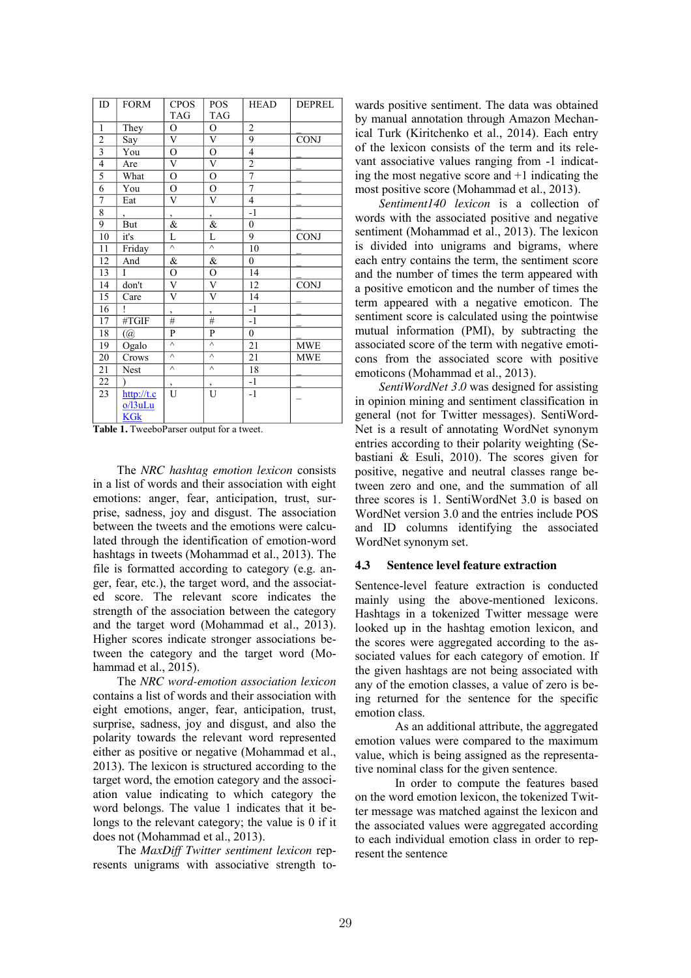| ID                      | <b>FORM</b>          | <b>CPOS</b>             | <b>POS</b>               | HEAD             | <b>DEPREL</b> |
|-------------------------|----------------------|-------------------------|--------------------------|------------------|---------------|
|                         |                      | <b>TAG</b>              | <b>TAG</b>               |                  |               |
| $\mathbf{1}$            | They                 | $\overline{O}$          | О                        | $\overline{c}$   |               |
| $\overline{2}$          | Say                  | $\overline{\rm V}$      | $\overline{\rm V}$       | 9                | <b>CONJ</b>   |
| $\overline{\mathbf{3}}$ | You                  | O                       | О                        | $\overline{4}$   |               |
| $\overline{\mathbf{4}}$ | Are                  | $\overline{\mathsf{V}}$ | V                        | $\overline{2}$   |               |
| 5                       | What                 | O                       | $\mathcal{O}$            | 7                |               |
| $\overline{6}$          | $\overline{Y}$ ou    | $\overline{O}$          | $\mathbf{O}$             | $\overline{7}$   |               |
| $\overline{7}$          | Eat                  | V                       | V                        | $\overline{4}$   |               |
| $\overline{8}$          |                      | $\overline{ }$          | $\overline{\phantom{a}}$ | $-1$             |               |
| 9                       | <b>But</b>           | &                       | &                        | $\boldsymbol{0}$ |               |
| 10                      | it's                 | L                       | L                        | 9                | <b>CONJ</b>   |
| 11                      | Friday               | $\overline{\wedge}$     | $\overline{\wedge}$      | 10               |               |
| $12\,$                  | And                  | &                       | &                        | $\overline{0}$   |               |
| 13                      | T                    | $\mathcal{O}$           | O                        | 14               |               |
| 14                      | don't                | $\overline{\rm v}$      | V                        | 12               | CONJ          |
| $\overline{15}$         | Care                 | $\overline{\mathsf{V}}$ | V                        | 14               |               |
| 16                      | 1                    | $\overline{ }$          | $\overline{ }$           | $-1$             |               |
| 17                      | #TGIF                | $\#$                    | #                        | $-1$             |               |
| 18                      | $\overline{a}$       | $\mathbf P$             | $\overline{P}$           | $\overline{0}$   |               |
| 19                      | Ogalo                | $\overline{\wedge}$     | $\wedge$                 | 21               | <b>MWE</b>    |
| 20                      | Crows                | $\overline{\wedge}$     | $\overline{\wedge}$      | 21               | <b>MWE</b>    |
| 21                      | Nest                 | $\overline{\wedge}$     | $\overline{\wedge}$      | 18               |               |
| 22                      |                      | ,                       | ,                        | $-1$             |               |
| 23                      | $\frac{http://t.c}{$ | U                       | $\overline{\mathrm{U}}$  | $-1$             |               |
|                         | $o/13$ uLu           |                         |                          |                  |               |
|                         | <u>KGk</u>           |                         |                          |                  |               |

**Table 1.** TweeboParser output for a tweet.

The *NRC hashtag emotion lexicon* consists in a list of words and their association with eight emotions: anger, fear, anticipation, trust, surprise, sadness, joy and disgust. The association between the tweets and the emotions were calculated through the identification of emotion-word hashtags in tweets (Mohammad et al., 2013). The file is formatted according to category (e.g. anger, fear, etc.), the target word, and the associated score. The relevant score indicates the strength of the association between the category and the target word (Mohammad et al., 2013). Higher scores indicate stronger associations between the category and the target word (Mohammad et al., 2015).

The *NRC word-emotion association lexicon* contains a list of words and their association with eight emotions, anger, fear, anticipation, trust, surprise, sadness, joy and disgust, and also the polarity towards the relevant word represented either as positive or negative (Mohammad et al., 2013). The lexicon is structured according to the target word, the emotion category and the association value indicating to which category the word belongs. The value 1 indicates that it belongs to the relevant category; the value is 0 if it does not (Mohammad et al., 2013).

The *MaxDiff Twitter sentiment lexicon* represents unigrams with associative strength towards positive sentiment. The data was obtained by manual annotation through Amazon Mechanical Turk (Kiritchenko et al., 2014). Each entry of the lexicon consists of the term and its relevant associative values ranging from -1 indicating the most negative score and +1 indicating the most positive score (Mohammad et al., 2013).

*Sentiment140 lexicon* is a collection of words with the associated positive and negative sentiment (Mohammad et al., 2013). The lexicon is divided into unigrams and bigrams, where each entry contains the term, the sentiment score and the number of times the term appeared with a positive emoticon and the number of times the term appeared with a negative emoticon. The sentiment score is calculated using the pointwise mutual information (PMI), by subtracting the associated score of the term with negative emoticons from the associated score with positive emoticons (Mohammad et al., 2013).

*SentiWordNet 3.0* was designed for assisting in opinion mining and sentiment classification in general (not for Twitter messages). SentiWord-Net is a result of annotating WordNet synonym entries according to their polarity weighting (Sebastiani & Esuli, 2010). The scores given for positive, negative and neutral classes range between zero and one, and the summation of all three scores is 1. SentiWordNet 3.0 is based on WordNet version 3.0 and the entries include POS and ID columns identifying the associated WordNet synonym set.

### **4.3 Sentence level feature extraction**

Sentence-level feature extraction is conducted mainly using the above-mentioned lexicons. Hashtags in a tokenized Twitter message were looked up in the hashtag emotion lexicon, and the scores were aggregated according to the associated values for each category of emotion. If the given hashtags are not being associated with any of the emotion classes, a value of zero is being returned for the sentence for the specific emotion class.

As an additional attribute, the aggregated emotion values were compared to the maximum value, which is being assigned as the representative nominal class for the given sentence.

In order to compute the features based on the word emotion lexicon, the tokenized Twitter message was matched against the lexicon and the associated values were aggregated according to each individual emotion class in order to represent the sentence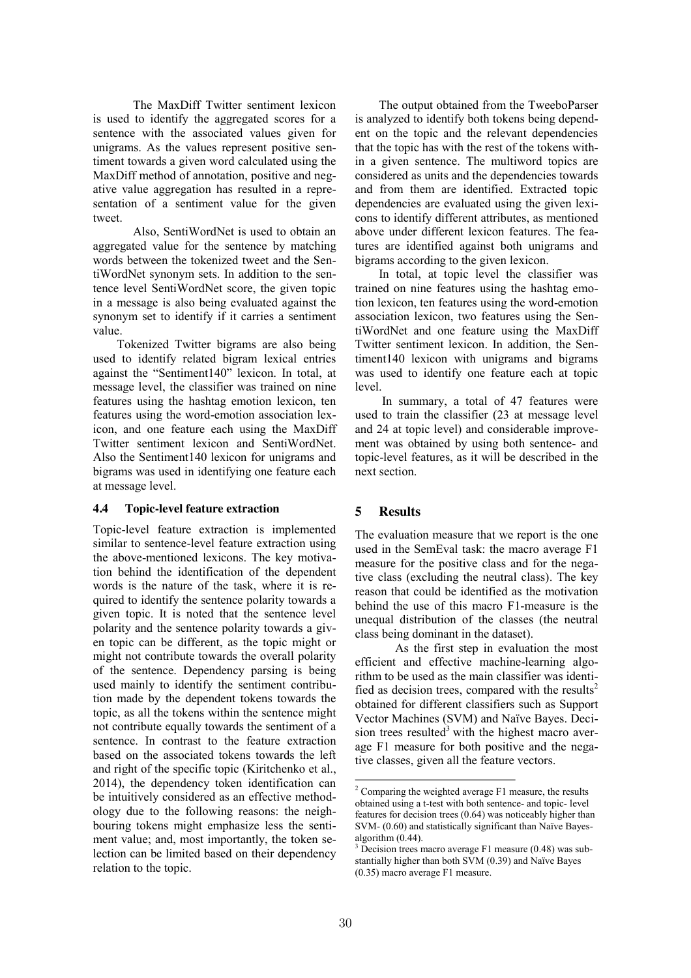The MaxDiff Twitter sentiment lexicon is used to identify the aggregated scores for a sentence with the associated values given for unigrams. As the values represent positive sentiment towards a given word calculated using the MaxDiff method of annotation, positive and negative value aggregation has resulted in a representation of a sentiment value for the given tweet.

Also, SentiWordNet is used to obtain an aggregated value for the sentence by matching words between the tokenized tweet and the SentiWordNet synonym sets. In addition to the sentence level SentiWordNet score, the given topic in a message is also being evaluated against the synonym set to identify if it carries a sentiment value.

Tokenized Twitter bigrams are also being used to identify related bigram lexical entries against the "Sentiment140" lexicon. In total, at message level, the classifier was trained on nine features using the hashtag emotion lexicon, ten features using the word-emotion association lexicon, and one feature each using the MaxDiff Twitter sentiment lexicon and SentiWordNet. Also the Sentiment140 lexicon for unigrams and bigrams was used in identifying one feature each at message level.

### **4.4 Topic-level feature extraction**

Topic-level feature extraction is implemented similar to sentence-level feature extraction using the above-mentioned lexicons. The key motivation behind the identification of the dependent words is the nature of the task, where it is required to identify the sentence polarity towards a given topic. It is noted that the sentence level polarity and the sentence polarity towards a given topic can be different, as the topic might or might not contribute towards the overall polarity of the sentence. Dependency parsing is being used mainly to identify the sentiment contribution made by the dependent tokens towards the topic, as all the tokens within the sentence might not contribute equally towards the sentiment of a sentence. In contrast to the feature extraction based on the associated tokens towards the left and right of the specific topic (Kiritchenko et al., 2014), the dependency token identification can be intuitively considered as an effective methodology due to the following reasons: the neighbouring tokens might emphasize less the sentiment value; and, most importantly, the token selection can be limited based on their dependency relation to the topic.

The output obtained from the TweeboParser is analyzed to identify both tokens being dependent on the topic and the relevant dependencies that the topic has with the rest of the tokens within a given sentence. The multiword topics are considered as units and the dependencies towards and from them are identified. Extracted topic dependencies are evaluated using the given lexicons to identify different attributes, as mentioned above under different lexicon features. The features are identified against both unigrams and bigrams according to the given lexicon.

In total, at topic level the classifier was trained on nine features using the hashtag emotion lexicon, ten features using the word-emotion association lexicon, two features using the SentiWordNet and one feature using the MaxDiff Twitter sentiment lexicon. In addition, the Sentiment140 lexicon with unigrams and bigrams was used to identify one feature each at topic level.

In summary, a total of 47 features were used to train the classifier (23 at message level and 24 at topic level) and considerable improvement was obtained by using both sentence- and topic-level features, as it will be described in the next section.

## **5 Results**

The evaluation measure that we report is the one used in the SemEval task: the macro average F1 measure for the positive class and for the negative class (excluding the neutral class). The key reason that could be identified as the motivation behind the use of this macro F1-measure is the unequal distribution of the classes (the neutral class being dominant in the dataset).

As the first step in evaluation the most efficient and effective machine-learning algorithm to be used as the main classifier was identified as decision trees, compared with the results<sup>2</sup> obtained for different classifiers such as Support Vector Machines (SVM) and Naïve Bayes. Decision trees resulted<sup>3</sup> with the highest macro average F1 measure for both positive and the negative classes, given all the feature vectors.

<sup>2</sup> Comparing the weighted average F1 measure, the results obtained using a t-test with both sentence- and topic- level features for decision trees (0.64) was noticeably higher than SVM- (0.60) and statistically significant than Naïve Bayesalgorithm (0.44).

 $3\overline{D}$  Decision trees macro average F1 measure (0.48) was substantially higher than both SVM (0.39) and Naïve Bayes (0.35) macro average F1 measure.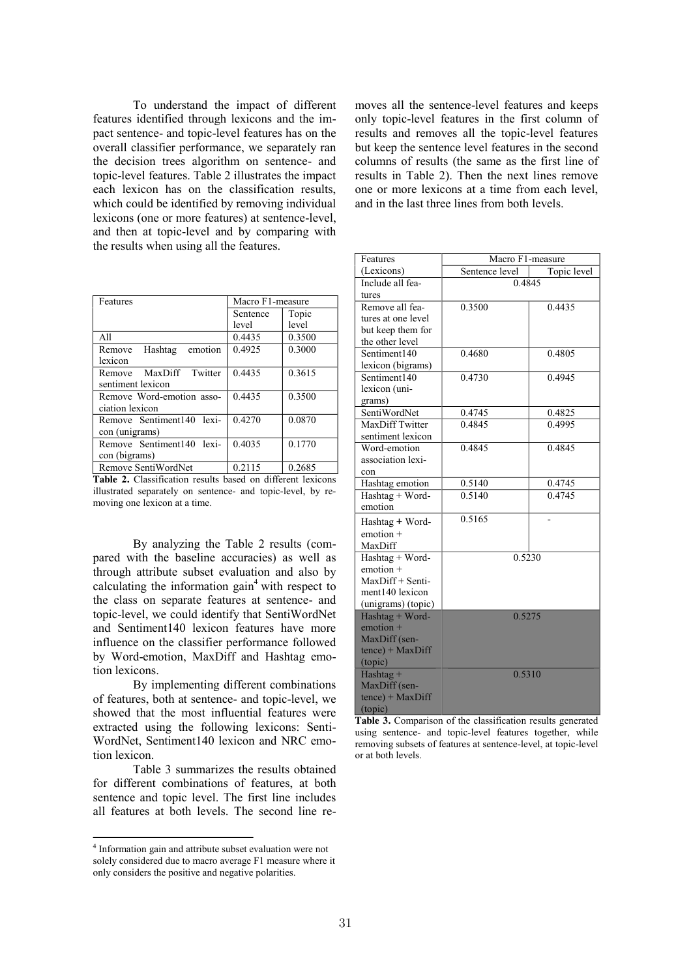To understand the impact of different features identified through lexicons and the impact sentence- and topic-level features has on the overall classifier performance, we separately ran the decision trees algorithm on sentence- and topic-level features. Table 2 illustrates the impact each lexicon has on the classification results, which could be identified by removing individual lexicons (one or more features) at sentence-level, and then at topic-level and by comparing with the results when using all the features.

| Features                     | Macro F1-measure |        |  |  |
|------------------------------|------------------|--------|--|--|
|                              | Sentence         | Topic  |  |  |
|                              | level            | level  |  |  |
| All                          | 0.4435           | 0.3500 |  |  |
| Hashtag<br>emotion<br>Remove | 0.4925           | 0.3000 |  |  |
| lexicon                      |                  |        |  |  |
| Remove MaxDiff Twitter       | 0.4435           | 0.3615 |  |  |
| sentiment lexicon            |                  |        |  |  |
| Remove Word-emotion asso-    | 0.4435           | 0.3500 |  |  |
| ciation lexicon              |                  |        |  |  |
| Remove Sentiment140 lexi-    | 0.4270           | 0.0870 |  |  |
| con (unigrams)               |                  |        |  |  |
| Remove Sentiment140 lexi-    | 0.4035           | 0.1770 |  |  |
| con (bigrams)                |                  |        |  |  |
| Remove SentiWordNet          | 0.2115           | 0.2685 |  |  |

Table 2. Classification results based on different lexicons illustrated separately on sentence- and topic-level, by removing one lexicon at a time.

By analyzing the Table 2 results (compared with the baseline accuracies) as well as through attribute subset evaluation and also by calculating the information gain<sup>4</sup> with respect to the class on separate features at sentence- and topic-level, we could identify that SentiWordNet and Sentiment140 lexicon features have more influence on the classifier performance followed by Word-emotion, MaxDiff and Hashtag emotion lexicons.

By implementing different combinations of features, both at sentence- and topic-level, we showed that the most influential features were extracted using the following lexicons: Senti-WordNet, Sentiment140 lexicon and NRC emotion lexicon.

Table 3 summarizes the results obtained for different combinations of features, at both sentence and topic level. The first line includes all features at both levels. The second line removes all the sentence-level features and keeps only topic-level features in the first column of results and removes all the topic-level features but keep the sentence level features in the second columns of results (the same as the first line of results in Table 2). Then the next lines remove one or more lexicons at a time from each level, and in the last three lines from both levels.

| Features            | Macro F1-measure |             |  |
|---------------------|------------------|-------------|--|
| (Lexicons)          | Sentence level   | Topic level |  |
| Include all fea-    | 0.4845           |             |  |
| tures               |                  |             |  |
| Remove all fea-     | 0.3500           | 0.4435      |  |
| tures at one level  |                  |             |  |
| but keep them for   |                  |             |  |
| the other level     |                  |             |  |
| Sentiment140        | 0.4680           | 0.4805      |  |
| lexicon (bigrams)   |                  |             |  |
| Sentiment140        | 0.4730           | 0.4945      |  |
| lexicon (uni-       |                  |             |  |
| grams)              |                  |             |  |
| SentiWordNet        | 0.4745           | 0.4825      |  |
| MaxDiff Twitter     | 0.4845           | 0.4995      |  |
| sentiment lexicon   |                  |             |  |
| Word-emotion        | 0.4845           | 0.4845      |  |
| association lexi-   |                  |             |  |
| con                 |                  |             |  |
| Hashtag emotion     | 0.5140           | 0.4745      |  |
| Hashtag + Word-     | 0.5140           | 0.4745      |  |
| emotion             |                  |             |  |
| Hashtag + Word-     | 0.5165           |             |  |
| $emotion +$         |                  |             |  |
| MaxDiff             |                  |             |  |
| Hashtag + Word-     | 0.5230           |             |  |
| $emotion +$         |                  |             |  |
| $MaxDiff + Senti-$  |                  |             |  |
| ment140 lexicon     |                  |             |  |
| (unigrams) (topic)  |                  |             |  |
| Hashtag + Word-     | 0.5275           |             |  |
| $emotion +$         |                  |             |  |
| MaxDiff (sen-       |                  |             |  |
| $tence$ + MaxDiff   |                  |             |  |
| (topic)             |                  |             |  |
| Hashtag +           | 0.5310           |             |  |
| MaxDiff (sen-       |                  |             |  |
| $tence$ ) + MaxDiff |                  |             |  |
| (topic)             |                  |             |  |

**Table 3.** Comparison of the classification results generated using sentence- and topic-level features together, while removing subsets of features at sentence-level, at topic-level or at both levels.

<sup>4</sup> Information gain and attribute subset evaluation were not solely considered due to macro average F1 measure where it only considers the positive and negative polarities.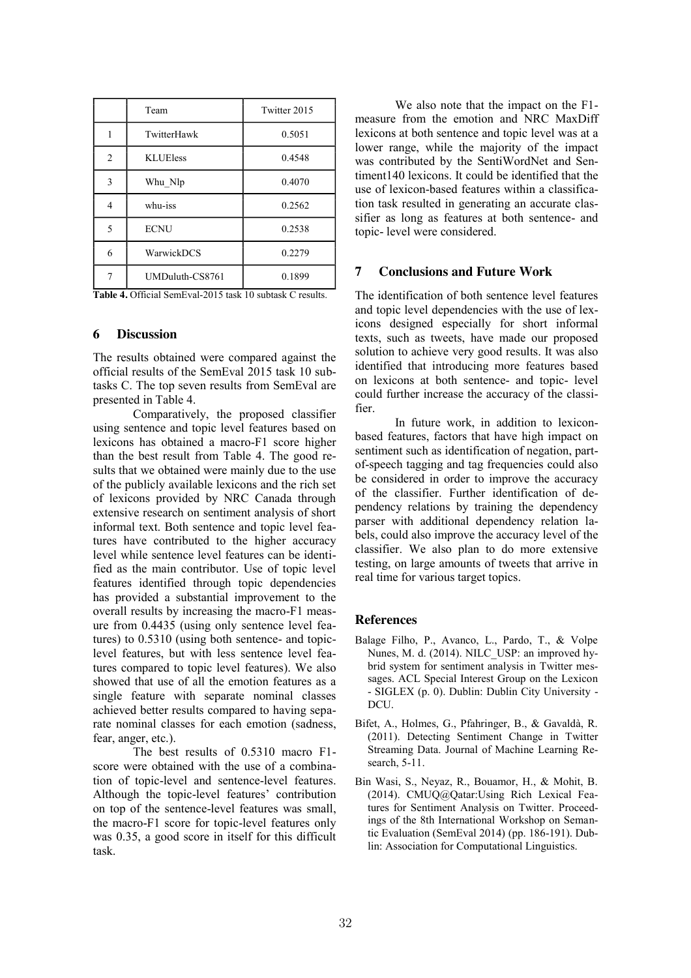|   | Team            | Twitter 2015 |
|---|-----------------|--------------|
|   | TwitterHawk     | 0.5051       |
| 2 | <b>KLUEless</b> | 0.4548       |
| 3 | Whu Nlp         | 0.4070       |
| 4 | whu-iss         | 0.2562       |
| 5 | <b>ECNU</b>     | 0.2538       |
| 6 | WarwickDCS      | 0.2279       |
|   | UMDuluth-CS8761 | 0.1899       |

**Table 4.** Official SemEval-2015 task 10 subtask C results.

#### **6 Discussion**

The results obtained were compared against the official results of the SemEval 2015 task 10 subtasks C. The top seven results from SemEval are presented in Table 4.

Comparatively, the proposed classifier using sentence and topic level features based on lexicons has obtained a macro-F1 score higher than the best result from Table 4. The good results that we obtained were mainly due to the use of the publicly available lexicons and the rich set of lexicons provided by NRC Canada through extensive research on sentiment analysis of short informal text. Both sentence and topic level features have contributed to the higher accuracy level while sentence level features can be identified as the main contributor. Use of topic level features identified through topic dependencies has provided a substantial improvement to the overall results by increasing the macro-F1 measure from 0.4435 (using only sentence level features) to 0.5310 (using both sentence- and topiclevel features, but with less sentence level features compared to topic level features). We also showed that use of all the emotion features as a single feature with separate nominal classes achieved better results compared to having separate nominal classes for each emotion (sadness, fear, anger, etc.).

The best results of 0.5310 macro F1 score were obtained with the use of a combination of topic-level and sentence-level features. Although the topic-level features' contribution on top of the sentence-level features was small, the macro-F1 score for topic-level features only was 0.35, a good score in itself for this difficult task.

We also note that the impact on the F1 measure from the emotion and NRC MaxDiff lexicons at both sentence and topic level was at a lower range, while the majority of the impact was contributed by the SentiWordNet and Sentiment140 lexicons. It could be identified that the use of lexicon-based features within a classification task resulted in generating an accurate classifier as long as features at both sentence- and topic- level were considered.

### **7 Conclusions and Future Work**

The identification of both sentence level features and topic level dependencies with the use of lexicons designed especially for short informal texts, such as tweets, have made our proposed solution to achieve very good results. It was also identified that introducing more features based on lexicons at both sentence- and topic- level could further increase the accuracy of the classifier.

In future work, in addition to lexiconbased features, factors that have high impact on sentiment such as identification of negation, partof-speech tagging and tag frequencies could also be considered in order to improve the accuracy of the classifier. Further identification of dependency relations by training the dependency parser with additional dependency relation labels, could also improve the accuracy level of the classifier. We also plan to do more extensive testing, on large amounts of tweets that arrive in real time for various target topics.

### **References**

- Balage Filho, P., Avanco, L., Pardo, T., & Volpe Nunes, M. d. (2014). NILC\_USP: an improved hybrid system for sentiment analysis in Twitter messages. ACL Special Interest Group on the Lexicon - SIGLEX (p. 0). Dublin: Dublin City University - DCU.
- Bifet, A., Holmes, G., Pfahringer, B., & Gavaldà, R. (2011). Detecting Sentiment Change in Twitter Streaming Data. Journal of Machine Learning Research, 5-11.
- Bin Wasi, S., Neyaz, R., Bouamor, H., & Mohit, B. (2014). CMUQ@Qatar:Using Rich Lexical Features for Sentiment Analysis on Twitter. Proceedings of the 8th International Workshop on Semantic Evaluation (SemEval 2014) (pp. 186-191). Dublin: Association for Computational Linguistics.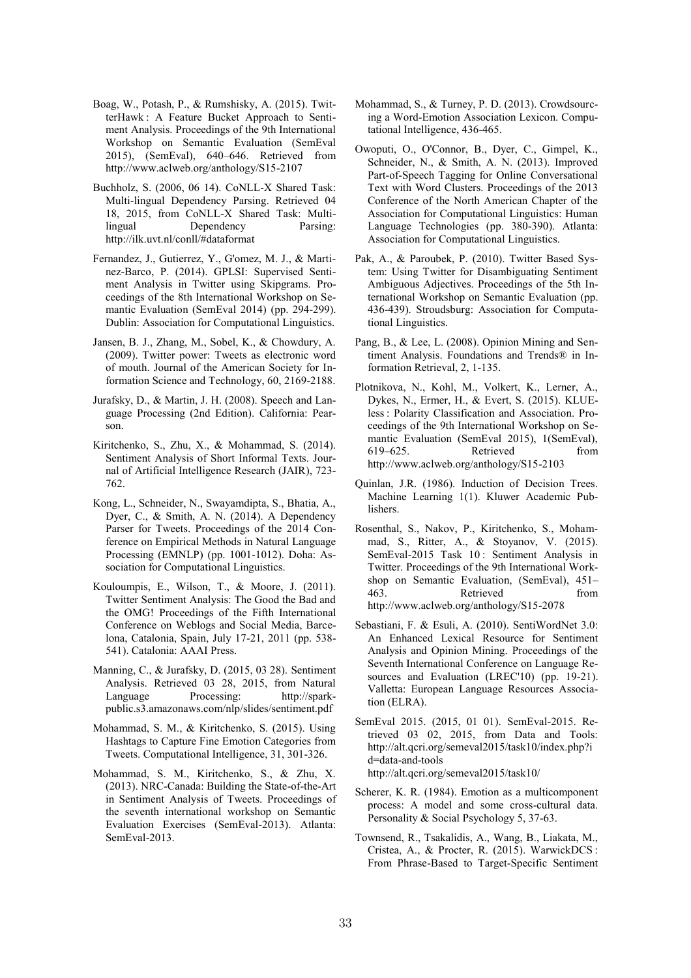- Boag, W., Potash, P., & Rumshisky, A. (2015). TwitterHawk : A Feature Bucket Approach to Sentiment Analysis. Proceedings of the 9th International Workshop on Semantic Evaluation (SemEval 2015), (SemEval), 640–646. Retrieved from http://www.aclweb.org/anthology/S15-2107
- Buchholz, S. (2006, 06 14). CoNLL-X Shared Task: Multi-lingual Dependency Parsing. Retrieved 04 18, 2015, from CoNLL-X Shared Task: Multilingual Dependency Parsing: http://ilk.uvt.nl/conll/#dataformat
- Fernandez, J., Gutierrez, Y., G'omez, M. J., & Martinez-Barco, P. (2014). GPLSI: Supervised Sentiment Analysis in Twitter using Skipgrams. Proceedings of the 8th International Workshop on Semantic Evaluation (SemEval 2014) (pp. 294-299). Dublin: Association for Computational Linguistics.
- Jansen, B. J., Zhang, M., Sobel, K., & Chowdury, A. (2009). Twitter power: Tweets as electronic word of mouth. Journal of the American Society for Information Science and Technology, 60, 2169-2188.
- Jurafsky, D., & Martin, J. H. (2008). Speech and Language Processing (2nd Edition). California: Pearson.
- Kiritchenko, S., Zhu, X., & Mohammad, S. (2014). Sentiment Analysis of Short Informal Texts. Journal of Artificial Intelligence Research (JAIR), 723- 762.
- Kong, L., Schneider, N., Swayamdipta, S., Bhatia, A., Dyer, C., & Smith, A. N. (2014). A Dependency Parser for Tweets. Proceedings of the 2014 Conference on Empirical Methods in Natural Language Processing (EMNLP) (pp. 1001-1012). Doha: Association for Computational Linguistics.
- Kouloumpis, E., Wilson, T., & Moore, J. (2011). Twitter Sentiment Analysis: The Good the Bad and the OMG! Proceedings of the Fifth International Conference on Weblogs and Social Media, Barcelona, Catalonia, Spain, July 17-21, 2011 (pp. 538- 541). Catalonia: AAAI Press.
- Manning, C., & Jurafsky, D. (2015, 03 28). Sentiment Analysis. Retrieved 03 28, 2015, from Natural Language Processing: http://sparkpublic.s3.amazonaws.com/nlp/slides/sentiment.pdf
- Mohammad, S. M., & Kiritchenko, S. (2015). Using Hashtags to Capture Fine Emotion Categories from Tweets. Computational Intelligence, 31, 301-326.
- Mohammad, S. M., Kiritchenko, S., & Zhu, X. (2013). NRC-Canada: Building the State-of-the-Art in Sentiment Analysis of Tweets. Proceedings of the seventh international workshop on Semantic Evaluation Exercises (SemEval-2013). Atlanta: SemEval-2013.
- Mohammad, S., & Turney, P. D. (2013). Crowdsourcing a Word-Emotion Association Lexicon. Computational Intelligence, 436-465.
- Owoputi, O., O'Connor, B., Dyer, C., Gimpel, K., Schneider, N., & Smith, A. N. (2013). Improved Part-of-Speech Tagging for Online Conversational Text with Word Clusters. Proceedings of the 2013 Conference of the North American Chapter of the Association for Computational Linguistics: Human Language Technologies (pp. 380-390). Atlanta: Association for Computational Linguistics.
- Pak, A., & Paroubek, P. (2010). Twitter Based System: Using Twitter for Disambiguating Sentiment Ambiguous Adjectives. Proceedings of the 5th International Workshop on Semantic Evaluation (pp. 436-439). Stroudsburg: Association for Computational Linguistics.
- Pang, B., & Lee, L. (2008). Opinion Mining and Sentiment Analysis. Foundations and Trends® in Information Retrieval, 2, 1-135.
- Plotnikova, N., Kohl, M., Volkert, K., Lerner, A., Dykes, N., Ermer, H., & Evert, S. (2015). KLUEless : Polarity Classification and Association. Proceedings of the 9th International Workshop on Semantic Evaluation (SemEval 2015), 1(SemEval), 619–625. Retrieved from http://www.aclweb.org/anthology/S15-2103
- Quinlan, J.R. (1986). Induction of Decision Trees. Machine Learning 1(1). Kluwer Academic Publishers.
- Rosenthal, S., Nakov, P., Kiritchenko, S., Mohammad, S., Ritter, A., & Stoyanov, V. (2015). SemEval-2015 Task 10 : Sentiment Analysis in Twitter. Proceedings of the 9th International Workshop on Semantic Evaluation, (SemEval), 451– 463. Retrieved from http://www.aclweb.org/anthology/S15-2078
- Sebastiani, F. & Esuli, A. (2010). SentiWordNet 3.0: An Enhanced Lexical Resource for Sentiment Analysis and Opinion Mining. Proceedings of the Seventh International Conference on Language Resources and Evaluation (LREC'10) (pp. 19-21). Valletta: European Language Resources Association (ELRA).
- SemEval 2015. (2015, 01 01). SemEval-2015. Retrieved 03 02, 2015, from Data and Tools: http://alt.qcri.org/semeval2015/task10/index.php?i d=data-and-tools http://alt.qcri.org/semeval2015/task10/
- Scherer, K. R. (1984). Emotion as a multicomponent process: A model and some cross-cultural data. Personality & Social Psychology 5, 37-63.
- Townsend, R., Tsakalidis, A., Wang, B., Liakata, M., Cristea, A., & Procter, R. (2015). WarwickDCS : From Phrase-Based to Target-Specific Sentiment